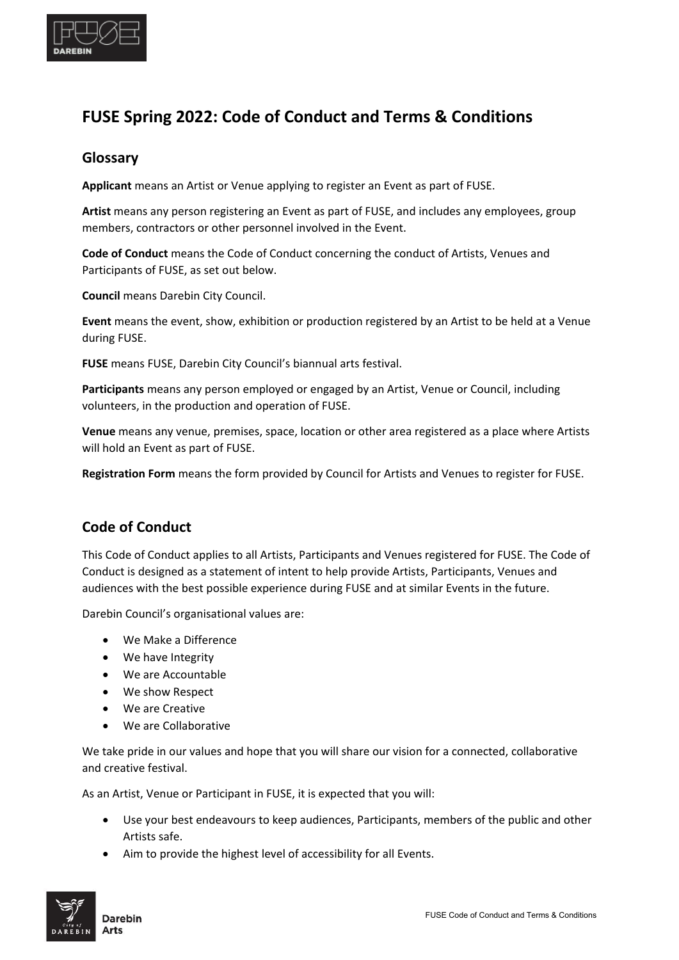

# **FUSE Spring 2022: Code of Conduct and Terms & Conditions**

## **Glossary**

**Applicant** means an Artist or Venue applying to register an Event as part of FUSE.

**Artist** means any person registering an Event as part of FUSE, and includes any employees, group members, contractors or other personnel involved in the Event.

**Code of Conduct** means the Code of Conduct concerning the conduct of Artists, Venues and Participants of FUSE, as set out below.

**Council** means Darebin City Council.

**Event** means the event, show, exhibition or production registered by an Artist to be held at a Venue during FUSE.

**FUSE** means FUSE, Darebin City Council's biannual arts festival.

**Participants** means any person employed or engaged by an Artist, Venue or Council, including volunteers, in the production and operation of FUSE.

**Venue** means any venue, premises, space, location or other area registered as a place where Artists will hold an Event as part of FUSE.

**Registration Form** means the form provided by Council for Artists and Venues to register for FUSE.

# **Code of Conduct**

This Code of Conduct applies to all Artists, Participants and Venues registered for FUSE. The Code of Conduct is designed as a statement of intent to help provide Artists, Participants, Venues and audiences with the best possible experience during FUSE and at similar Events in the future.

Darebin Council's organisational values are:

- We Make a Difference
- We have Integrity
- We are Accountable
- We show Respect
- We are Creative
- We are Collaborative

We take pride in our values and hope that you will share our vision for a connected, collaborative and creative festival.

As an Artist, Venue or Participant in FUSE, it is expected that you will:

- Use your best endeavours to keep audiences, Participants, members of the public and other Artists safe.
- Aim to provide the highest level of accessibility for all Events.

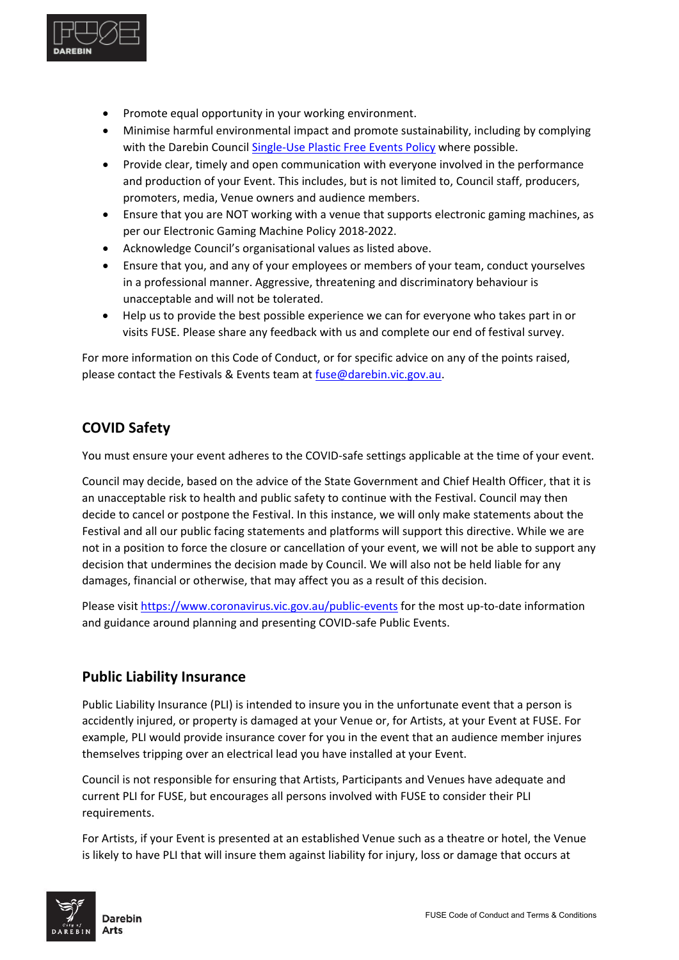

- Promote equal opportunity in your working environment.
- Minimise harmful environmental impact and promote sustainability, including by complying with the Darebin Council [Single-Use Plastic Free Events Policy](http://www.darebin.vic.gov.au/-/media/cityofdarebin/Files/YourCouncil/HowCouncilWorks/CouncilPlan/CouncilStrategies/Single-UsePlasticFreeEventsPolicy-February2018.ashx?la=en) where possible.
- Provide clear, timely and open communication with everyone involved in the performance and production of your Event. This includes, but is not limited to, Council staff, producers, promoters, media, Venue owners and audience members.
- Ensure that you are NOT working with a venue that supports electronic gaming machines, as per our Electronic Gaming Machine Policy 2018-2022.
- Acknowledge Council's organisational values as listed above.
- Ensure that you, and any of your employees or members of your team, conduct yourselves in a professional manner. Aggressive, threatening and discriminatory behaviour is unacceptable and will not be tolerated.
- Help us to provide the best possible experience we can for everyone who takes part in or visits FUSE. Please share any feedback with us and complete our end of festival survey.

For more information on this Code of Conduct, or for specific advice on any of the points raised, please contact the Festivals & Events team at [fuse@darebin.vic.gov.au.](mailto:fuse@darebin.vic.gov.au)

# **COVID Safety**

You must ensure your event adheres to the COVID-safe settings applicable at the time of your event.

Council may decide, based on the advice of the State Government and Chief Health Officer, that it is an unacceptable risk to health and public safety to continue with the Festival. Council may then decide to cancel or postpone the Festival. In this instance, we will only make statements about the Festival and all our public facing statements and platforms will support this directive. While we are not in a position to force the closure or cancellation of your event, we will not be able to support any decision that undermines the decision made by Council. We will also not be held liable for any damages, financial or otherwise, that may affect you as a result of this decision.

Please visi[t https://www.coronavirus.vic.gov.au/public-events](https://www.coronavirus.vic.gov.au/public-events) for the most up-to-date information and guidance around planning and presenting COVID-safe Public Events.

# **Public Liability Insurance**

Public Liability Insurance (PLI) is intended to insure you in the unfortunate event that a person is accidently injured, or property is damaged at your Venue or, for Artists, at your Event at FUSE. For example, PLI would provide insurance cover for you in the event that an audience member injures themselves tripping over an electrical lead you have installed at your Event.

Council is not responsible for ensuring that Artists, Participants and Venues have adequate and current PLI for FUSE, but encourages all persons involved with FUSE to consider their PLI requirements.

For Artists, if your Event is presented at an established Venue such as a theatre or hotel, the Venue is likely to have PLI that will insure them against liability for injury, loss or damage that occurs at

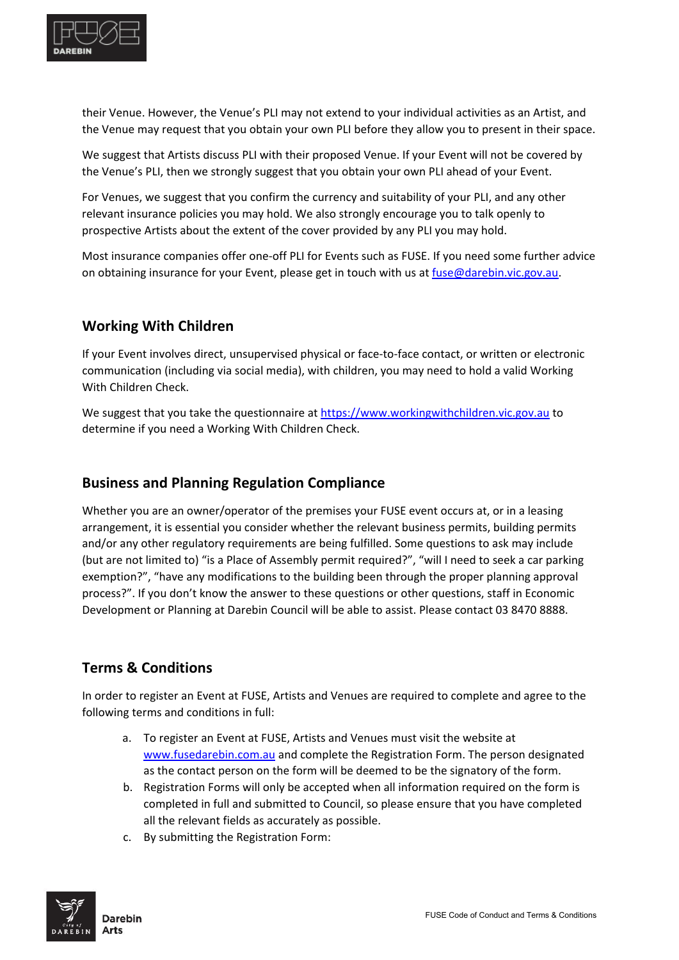

their Venue. However, the Venue's PLI may not extend to your individual activities as an Artist, and the Venue may request that you obtain your own PLI before they allow you to present in their space.

We suggest that Artists discuss PLI with their proposed Venue. If your Event will not be covered by the Venue's PLI, then we strongly suggest that you obtain your own PLI ahead of your Event.

For Venues, we suggest that you confirm the currency and suitability of your PLI, and any other relevant insurance policies you may hold. We also strongly encourage you to talk openly to prospective Artists about the extent of the cover provided by any PLI you may hold.

Most insurance companies offer one-off PLI for Events such as FUSE. If you need some further advice on obtaining insurance for your Event, please get in touch with us at [fuse@darebin.vic.gov.au.](mailto:fuse@darebin.vic.gov.au)

### **Working With Children**

If your Event involves direct, unsupervised physical or face-to-face contact, or written or electronic communication (including via social media), with children, you may need to hold a valid Working With Children Check.

We suggest that you take the questionnaire at [https://www.workingwithchildren.vic.gov.au](https://www.workingwithchildren.vic.gov.au/) to determine if you need a Working With Children Check.

#### **Business and Planning Regulation Compliance**

Whether you are an owner/operator of the premises your FUSE event occurs at, or in a leasing arrangement, it is essential you consider whether the relevant business permits, building permits and/or any other regulatory requirements are being fulfilled. Some questions to ask may include (but are not limited to) "is a Place of Assembly permit required?", "will I need to seek a car parking exemption?", "have any modifications to the building been through the proper planning approval process?". If you don't know the answer to these questions or other questions, staff in Economic Development or Planning at Darebin Council will be able to assist. Please contact 03 8470 8888.

# **Terms & Conditions**

In order to register an Event at FUSE, Artists and Venues are required to complete and agree to the following terms and conditions in full:

- a. To register an Event at FUSE, Artists and Venues must visit the website at [www.fusedarebin.com.au](http://www.fusedarebin.com.au/) and complete the Registration Form. The person designated as the contact person on the form will be deemed to be the signatory of the form.
- b. Registration Forms will only be accepted when all information required on the form is completed in full and submitted to Council, so please ensure that you have completed all the relevant fields as accurately as possible.
- c. By submitting the Registration Form:

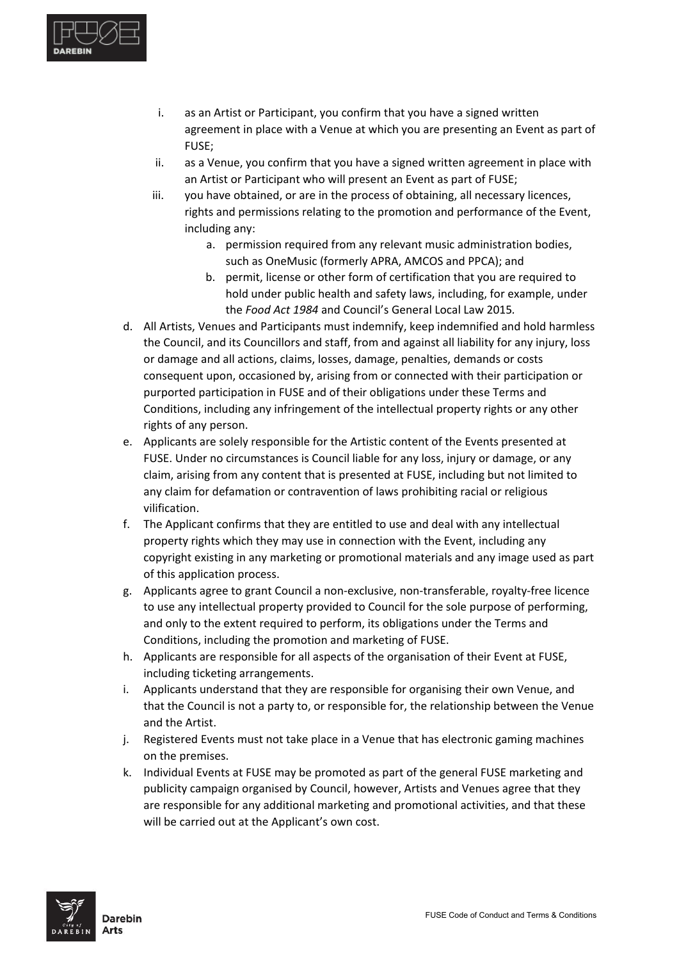

- i. as an Artist or Participant, you confirm that you have a signed written agreement in place with a Venue at which you are presenting an Event as part of FUSE;
- ii. as a Venue, you confirm that you have a signed written agreement in place with an Artist or Participant who will present an Event as part of FUSE;
- iii. you have obtained, or are in the process of obtaining, all necessary licences, rights and permissions relating to the promotion and performance of the Event, including any:
	- a. permission required from any relevant music administration bodies, such as OneMusic (formerly APRA, AMCOS and PPCA); and
	- b. permit, license or other form of certification that you are required to hold under public health and safety laws, including, for example, under the *Food Act 1984* and Council's General Local Law 2015*.*
- d. All Artists, Venues and Participants must indemnify, keep indemnified and hold harmless the Council, and its Councillors and staff, from and against all liability for any injury, loss or damage and all actions, claims, losses, damage, penalties, demands or costs consequent upon, occasioned by, arising from or connected with their participation or purported participation in FUSE and of their obligations under these Terms and Conditions, including any infringement of the intellectual property rights or any other rights of any person.
- e. Applicants are solely responsible for the Artistic content of the Events presented at FUSE. Under no circumstances is Council liable for any loss, injury or damage, or any claim, arising from any content that is presented at FUSE, including but not limited to any claim for defamation or contravention of laws prohibiting racial or religious vilification.
- f. The Applicant confirms that they are entitled to use and deal with any intellectual property rights which they may use in connection with the Event, including any copyright existing in any marketing or promotional materials and any image used as part of this application process.
- g. Applicants agree to grant Council a non-exclusive, non-transferable, royalty-free licence to use any intellectual property provided to Council for the sole purpose of performing, and only to the extent required to perform, its obligations under the Terms and Conditions, including the promotion and marketing of FUSE.
- h. Applicants are responsible for all aspects of the organisation of their Event at FUSE, including ticketing arrangements.
- i. Applicants understand that they are responsible for organising their own Venue, and that the Council is not a party to, or responsible for, the relationship between the Venue and the Artist.
- j. Registered Events must not take place in a Venue that has electronic gaming machines on the premises.
- k. Individual Events at FUSE may be promoted as part of the general FUSE marketing and publicity campaign organised by Council, however, Artists and Venues agree that they are responsible for any additional marketing and promotional activities, and that these will be carried out at the Applicant's own cost.

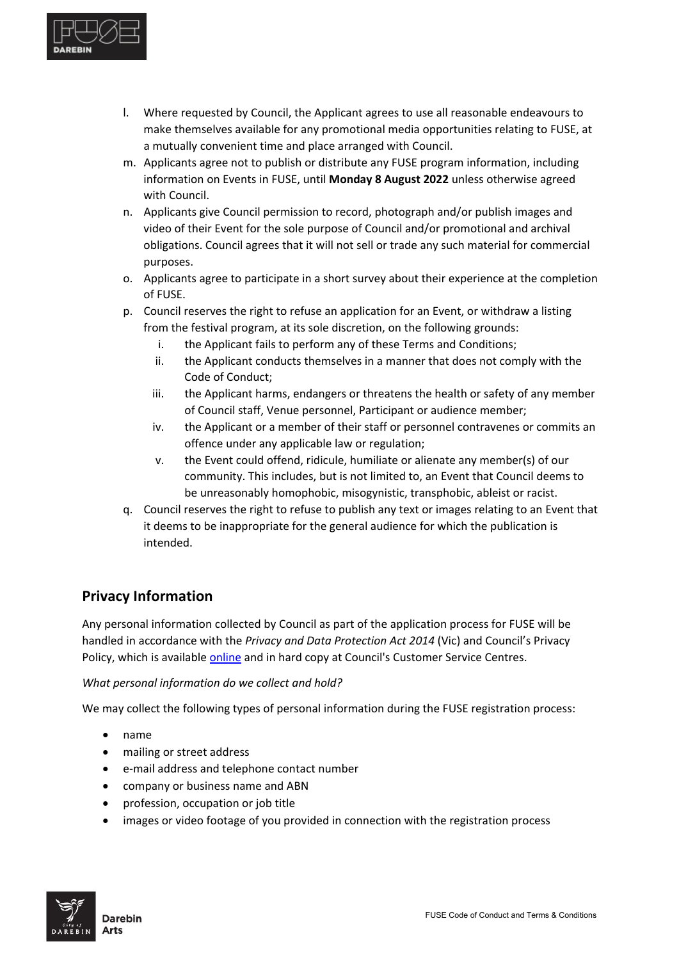

- l. Where requested by Council, the Applicant agrees to use all reasonable endeavours to make themselves available for any promotional media opportunities relating to FUSE, at a mutually convenient time and place arranged with Council.
- m. Applicants agree not to publish or distribute any FUSE program information, including information on Events in FUSE, until **Monday 8 August 2022** unless otherwise agreed with Council.
- n. Applicants give Council permission to record, photograph and/or publish images and video of their Event for the sole purpose of Council and/or promotional and archival obligations. Council agrees that it will not sell or trade any such material for commercial purposes.
- o. Applicants agree to participate in a short survey about their experience at the completion of FUSE.
- p. Council reserves the right to refuse an application for an Event, or withdraw a listing from the festival program, at its sole discretion, on the following grounds:
	- i. the Applicant fails to perform any of these Terms and Conditions;
	- ii. the Applicant conducts themselves in a manner that does not comply with the Code of Conduct;
	- iii. the Applicant harms, endangers or threatens the health or safety of any member of Council staff, Venue personnel, Participant or audience member;
	- iv. the Applicant or a member of their staff or personnel contravenes or commits an offence under any applicable law or regulation;
	- v. the Event could offend, ridicule, humiliate or alienate any member(s) of our community. This includes, but is not limited to, an Event that Council deems to be unreasonably homophobic, misogynistic, transphobic, ableist or racist.
- q. Council reserves the right to refuse to publish any text or images relating to an Event that it deems to be inappropriate for the general audience for which the publication is intended.

# **Privacy Information**

Any personal information collected by Council as part of the application process for FUSE will be handled in accordance with the *Privacy and Data Protection Act 2014* (Vic) and Council's Privacy Policy, which is available [online](http://www.darebin.vic.gov.au/en/Global/PrivacyStatement) and in hard copy at Council's Customer Service Centres.

#### *What personal information do we collect and hold?*

We may collect the following types of personal information during the FUSE registration process:

- name
- mailing or street address
- e-mail address and telephone contact number
- company or business name and ABN
- profession, occupation or job title
- images or video footage of you provided in connection with the registration process